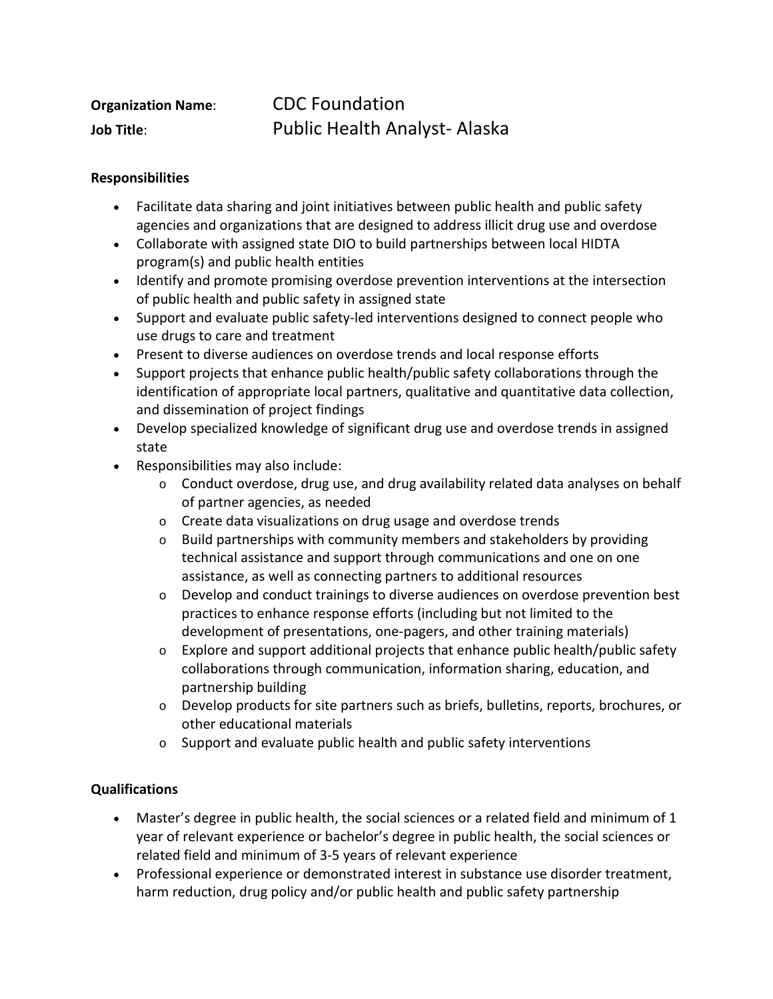| <b>Organization Name:</b> | <b>CDC Foundation</b>               |
|---------------------------|-------------------------------------|
| Job Title:                | <b>Public Health Analyst-Alaska</b> |

## **Responsibilities**

- Facilitate data sharing and joint initiatives between public health and public safety agencies and organizations that are designed to address illicit drug use and overdose
- Collaborate with assigned state DIO to build partnerships between local HIDTA program(s) and public health entities
- Identify and promote promising overdose prevention interventions at the intersection of public health and public safety in assigned state
- Support and evaluate public safety-led interventions designed to connect people who use drugs to care and treatment
- Present to diverse audiences on overdose trends and local response efforts
- Support projects that enhance public health/public safety collaborations through the identification of appropriate local partners, qualitative and quantitative data collection, and dissemination of project findings
- Develop specialized knowledge of significant drug use and overdose trends in assigned state
- Responsibilities may also include:
	- $\circ$  Conduct overdose, drug use, and drug availability related data analyses on behalf of partner agencies, as needed
	- o Create data visualizations on drug usage and overdose trends
	- $\circ$  Build partnerships with community members and stakeholders by providing technical assistance and support through communications and one on one assistance, as well as connecting partners to additional resources
	- $\circ$  Develop and conduct trainings to diverse audiences on overdose prevention best practices to enhance response efforts (including but not limited to the development of presentations, one-pagers, and other training materials)
	- $\circ$  Explore and support additional projects that enhance public health/public safety collaborations through communication, information sharing, education, and partnership building
	- o Develop products for site partners such as briefs, bulletins, reports, brochures, or other educational materials
	- o Support and evaluate public health and public safety interventions

## **Qualifications**

- Master's degree in public health, the social sciences or a related field and minimum of 1 year of relevant experience or bachelor's degree in public health, the social sciences or related field and minimum of 3-5 years of relevant experience
- Professional experience or demonstrated interest in substance use disorder treatment, harm reduction, drug policy and/or public health and public safety partnership